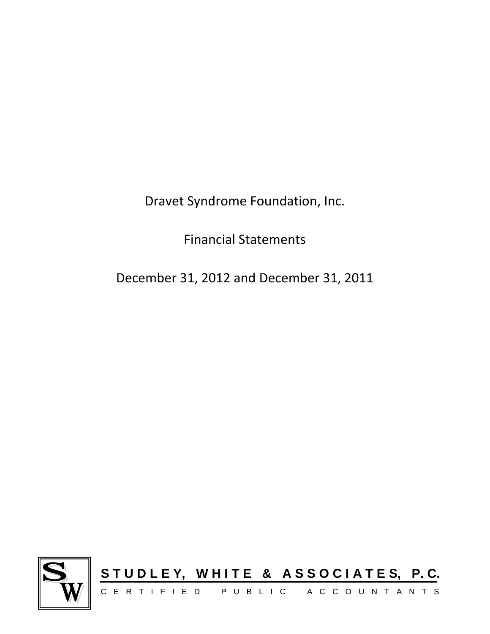Dravet Syndrome Foundation, Inc.

Financial Statements

December 31, 2012 and December 31, 2011

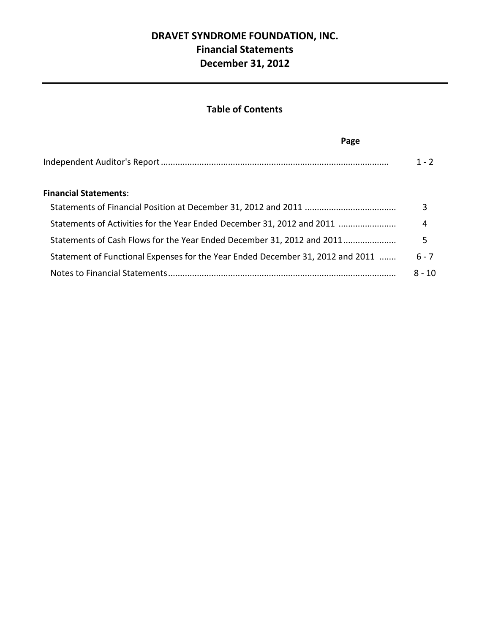## **DRAVET SYNDROME FOUNDATION, INC. Financial Statements December 31, 2012**

## **Table of Contents**

| Page                                                                           |          |
|--------------------------------------------------------------------------------|----------|
|                                                                                | $1 - 2$  |
| <b>Financial Statements:</b>                                                   |          |
|                                                                                | 3        |
| Statements of Activities for the Year Ended December 31, 2012 and 2011         | 4        |
| Statements of Cash Flows for the Year Ended December 31, 2012 and 2011         | 5        |
| Statement of Functional Expenses for the Year Ended December 31, 2012 and 2011 | $6 - 7$  |
|                                                                                | $8 - 10$ |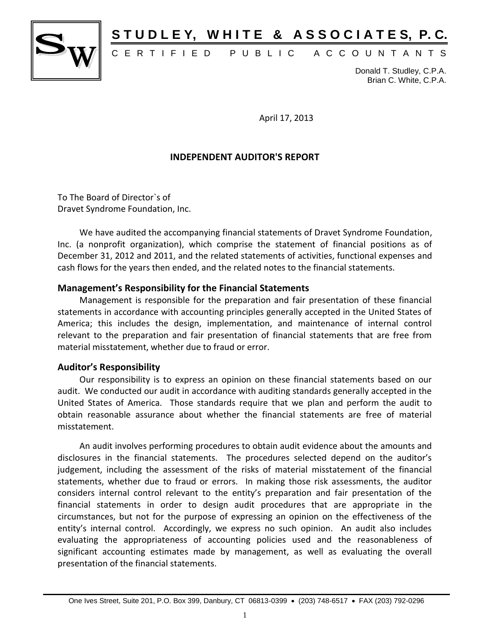

## STUDLEY, WHITE & ASSOCIATES, P.C.

## C E R T I F I E D P U B L I C A C C O U N T A N T S

Donald T. Studley, C.P.A. Brian C. White, C.P.A.

April 17, 2013

#### **INDEPENDENT AUDITOR'S REPORT**

To The Board of Director`s of Dravet Syndrome Foundation, Inc.

We have audited the accompanying financial statements of Dravet Syndrome Foundation, Inc. (a nonprofit organization), which comprise the statement of financial positions as of December 31, 2012 and 2011, and the related statements of activities, functional expenses and cash flows for the years then ended, and the related notes to the financial statements.

#### **Management's Responsibility for the Financial Statements**

Management is responsible for the preparation and fair presentation of these financial statements in accordance with accounting principles generally accepted in the United States of America; this includes the design, implementation, and maintenance of internal control relevant to the preparation and fair presentation of financial statements that are free from material misstatement, whether due to fraud or error.

#### **Auditor's Responsibility**

Our responsibility is to express an opinion on these financial statements based on our audit. We conducted our audit in accordance with auditing standards generally accepted in the United States of America. Those standards require that we plan and perform the audit to obtain reasonable assurance about whether the financial statements are free of material misstatement.

An audit involves performing procedures to obtain audit evidence about the amounts and disclosures in the financial statements. The procedures selected depend on the auditor's judgement, including the assessment of the risks of material misstatement of the financial statements, whether due to fraud or errors. In making those risk assessments, the auditor considers internal control relevant to the entity's preparation and fair presentation of the financial statements in order to design audit procedures that are appropriate in the circumstances, but not for the purpose of expressing an opinion on the effectiveness of the entity's internal control. Accordingly, we express no such opinion. An audit also includes evaluating the appropriateness of accounting policies used and the reasonableness of significant accounting estimates made by management, as well as evaluating the overall presentation of the financial statements.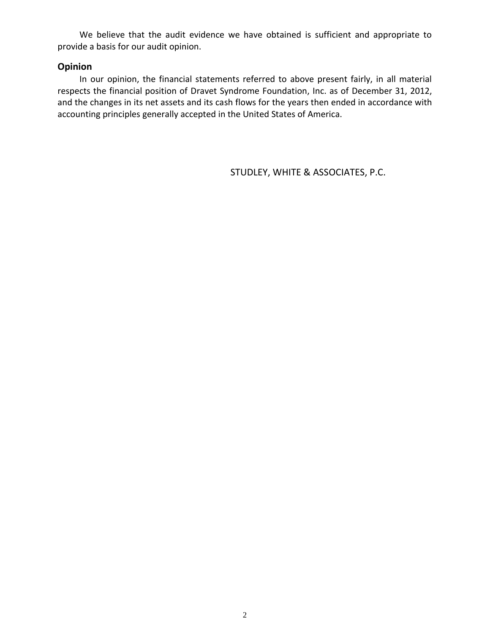We believe that the audit evidence we have obtained is sufficient and appropriate to provide a basis for our audit opinion.

#### **Opinion**

In our opinion, the financial statements referred to above present fairly, in all material respects the financial position of Dravet Syndrome Foundation, Inc. as of December 31, 2012, and the changes in its net assets and its cash flows for the years then ended in accordance with accounting principles generally accepted in the United States of America.

STUDLEY, WHITE & ASSOCIATES, P.C.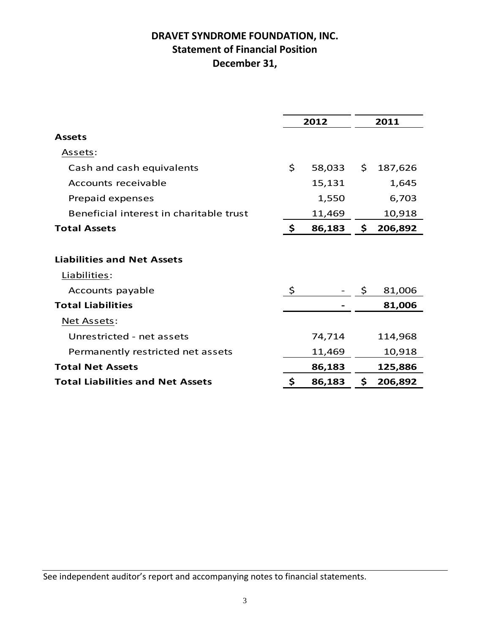## **DRAVET SYNDROME FOUNDATION, INC. Statement of Financial Position December 31,**

|                                         | 2012         | 2011 |           |  |  |
|-----------------------------------------|--------------|------|-----------|--|--|
| <b>Assets</b>                           |              |      |           |  |  |
| Assets:                                 |              |      |           |  |  |
| Cash and cash equivalents               | \$<br>58,033 | \$   | 187,626   |  |  |
| Accounts receivable                     | 15,131       |      | 1,645     |  |  |
| Prepaid expenses                        | 1,550        |      | 6,703     |  |  |
| Beneficial interest in charitable trust | 11,469       |      | 10,918    |  |  |
| <b>Total Assets</b>                     | \$<br>86,183 |      | \$206,892 |  |  |
|                                         |              |      |           |  |  |
| <b>Liabilities and Net Assets</b>       |              |      |           |  |  |
| Liabilities:                            |              |      |           |  |  |
| Accounts payable                        | \$           | \$   | 81,006    |  |  |
| <b>Total Liabilities</b>                |              |      | 81,006    |  |  |
| <u>Net Assets:</u>                      |              |      |           |  |  |
| Unrestricted - net assets               | 74,714       |      | 114,968   |  |  |
| Permanently restricted net assets       | 11,469       |      | 10,918    |  |  |
| <b>Total Net Assets</b>                 | 86,183       |      | 125,886   |  |  |
| <b>Total Liabilities and Net Assets</b> | \$<br>86,183 | \$   | 206,892   |  |  |
|                                         |              |      |           |  |  |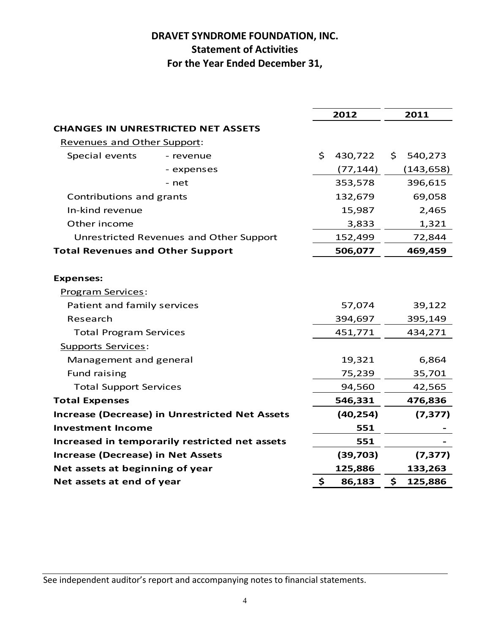## **DRAVET SYNDROME FOUNDATION, INC. Statement of Activities For the Year Ended December 31,**

|                                                         |                                                       | 2012          | 2011          |
|---------------------------------------------------------|-------------------------------------------------------|---------------|---------------|
|                                                         | <b>CHANGES IN UNRESTRICTED NET ASSETS</b>             |               |               |
| Revenues and Other Support:                             |                                                       |               |               |
| Special events                                          | - revenue                                             | \$<br>430,722 | \$<br>540,273 |
|                                                         | - expenses                                            | (77, 144)     | (143, 658)    |
|                                                         | - net                                                 | 353,578       | 396,615       |
| Contributions and grants                                |                                                       | 132,679       | 69,058        |
| In-kind revenue                                         |                                                       | 15,987        | 2,465         |
| Other income                                            |                                                       | 3,833         | 1,321         |
|                                                         | Unrestricted Revenues and Other Support               | 152,499       | 72,844        |
| <b>Total Revenues and Other Support</b>                 |                                                       | 506,077       | 469,459       |
|                                                         |                                                       |               |               |
| <b>Expenses:</b>                                        |                                                       |               |               |
| <b>Program Services:</b><br>Patient and family services |                                                       | 57,074        | 39,122        |
| Research                                                |                                                       |               |               |
|                                                         |                                                       | 394,697       | 395,149       |
| <b>Total Program Services</b>                           |                                                       | 451,771       | 434,271       |
| <b>Supports Services:</b><br>Management and general     |                                                       | 19,321        | 6,864         |
| Fund raising                                            |                                                       | 75,239        | 35,701        |
| <b>Total Support Services</b>                           |                                                       | 94,560        | 42,565        |
| <b>Total Expenses</b>                                   |                                                       | 546,331       | 476,836       |
|                                                         | <b>Increase (Decrease) in Unrestricted Net Assets</b> | (40, 254)     | (7, 377)      |
| <b>Investment Income</b>                                |                                                       | 551           |               |
|                                                         | Increased in temporarily restricted net assets        | 551           |               |
| <b>Increase (Decrease) in Net Assets</b>                |                                                       | (39,703)      | (7, 377)      |
| Net assets at beginning of year                         |                                                       | 125,886       | 133,263       |
| Net assets at end of year                               |                                                       | \$<br>86,183  | \$<br>125,886 |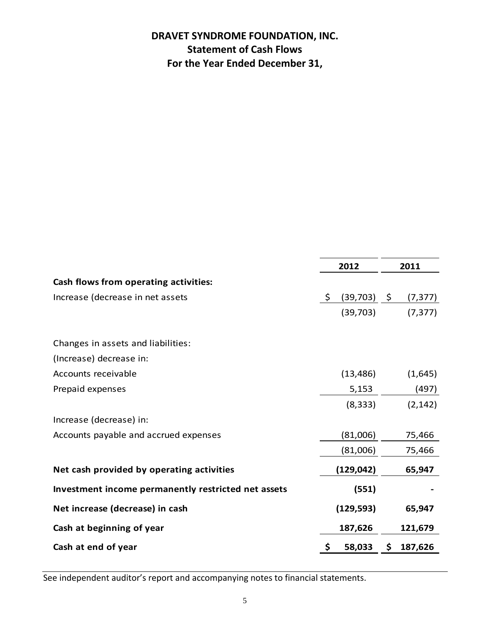## **DRAVET SYNDROME FOUNDATION, INC. Statement of Cash Flows For the Year Ended December 31,**

|                                                     | 2012           |      | 2011     |
|-----------------------------------------------------|----------------|------|----------|
| Cash flows from operating activities:               |                |      |          |
| Increase (decrease in net assets                    | \$<br>(39,703) | - \$ | (7, 377) |
|                                                     | (39,703)       |      | (7, 377) |
| Changes in assets and liabilities:                  |                |      |          |
| (Increase) decrease in:                             |                |      |          |
| Accounts receivable                                 | (13, 486)      |      | (1,645)  |
| Prepaid expenses                                    | 5,153          |      | (497)    |
|                                                     | (8, 333)       |      | (2, 142) |
| Increase (decrease) in:                             |                |      |          |
| Accounts payable and accrued expenses               | (81,006)       |      | 75,466   |
|                                                     | (81,006)       |      | 75,466   |
| Net cash provided by operating activities           | (129, 042)     |      | 65,947   |
| Investment income permanently restricted net assets | (551)          |      |          |
| Net increase (decrease) in cash                     | (129, 593)     |      | 65,947   |
| Cash at beginning of year                           | 187,626        |      | 121,679  |
| Cash at end of year                                 | \$<br>58,033   | \$.  | 187,626  |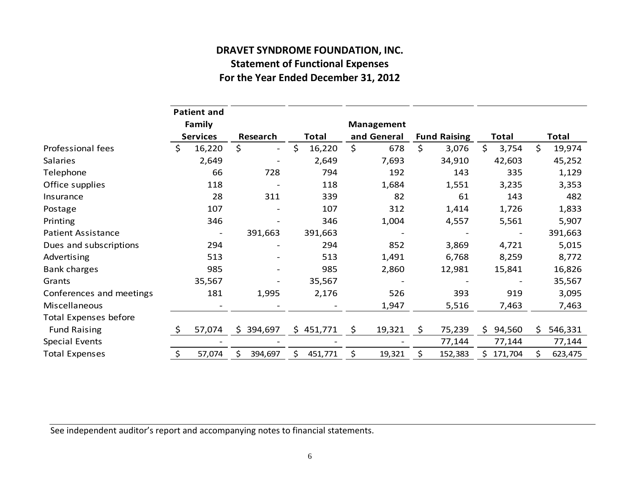# **DRAVET SYNDROME FOUNDATION, INC. Statement of Functional Expenses**

| \$<br>728<br>311<br>391,663 | \$<br>16,220<br>2,649<br>794<br>118<br>339<br>107<br>346<br>391,663 | \$<br>678<br>7,693<br>192<br>1,684<br>82<br>312 | \$<br>3,076<br>34,910<br>143<br>1,551<br>61 | $\varsigma$<br>3,754<br>42,603<br>335<br>3,235<br>143 | \$<br>19,974                    |
|-----------------------------|---------------------------------------------------------------------|-------------------------------------------------|---------------------------------------------|-------------------------------------------------------|---------------------------------|
|                             |                                                                     |                                                 |                                             |                                                       | 45,252<br>1,129<br>3,353<br>482 |
|                             |                                                                     |                                                 |                                             |                                                       |                                 |
|                             |                                                                     |                                                 |                                             |                                                       |                                 |
|                             |                                                                     |                                                 |                                             |                                                       |                                 |
|                             |                                                                     |                                                 |                                             |                                                       |                                 |
|                             |                                                                     |                                                 | 1,414                                       | 1,726                                                 | 1,833                           |
|                             |                                                                     | 1,004                                           | 4,557                                       | 5,561                                                 | 5,907                           |
|                             |                                                                     |                                                 |                                             |                                                       | 391,663                         |
|                             | 294                                                                 | 852                                             | 3,869                                       | 4,721                                                 | 5,015                           |
|                             | 513                                                                 | 1,491                                           | 6,768                                       | 8,259                                                 | 8,772                           |
|                             | 985                                                                 | 2,860                                           | 12,981                                      | 15,841                                                | 16,826                          |
|                             | 35,567                                                              |                                                 |                                             |                                                       | 35,567                          |
| 1,995                       | 2,176                                                               | 526                                             | 393                                         | 919                                                   | 3,095                           |
|                             |                                                                     | 1,947                                           | 5,516                                       | 7,463                                                 | 7,463                           |
|                             |                                                                     |                                                 |                                             |                                                       |                                 |
| \$394,697                   | \$451,771                                                           | \$<br>19,321                                    | \$<br>75,239                                | 94,560<br>\$                                          | \$<br>546,331                   |
|                             |                                                                     |                                                 | 77,144                                      | 77,144                                                | 77,144                          |
| \$<br>394,697               | \$<br>451,771                                                       | \$<br>19,321                                    | \$<br>152,383                               | \$171,704                                             | \$<br>623,475                   |
|                             |                                                                     |                                                 |                                             |                                                       |                                 |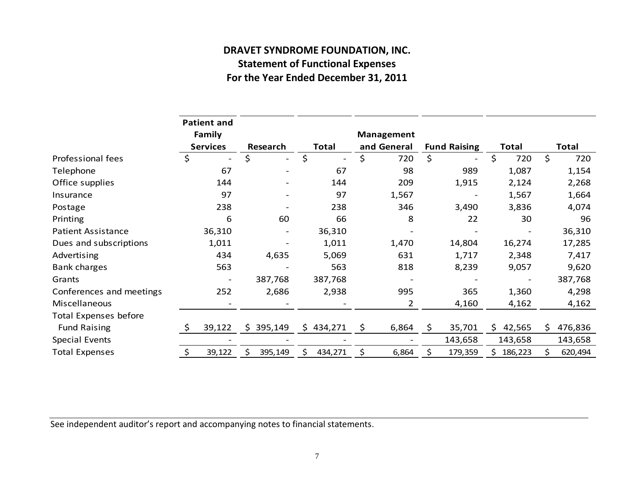## **DRAVET SYNDROME FOUNDATION, INC. Statement of Functional Expenses For the Year Ended December 31, 2011**

|                              |              | <b>Patient and</b><br>Family |                          |    |              | Management     |                     |    |              |    |              |
|------------------------------|--------------|------------------------------|--------------------------|----|--------------|----------------|---------------------|----|--------------|----|--------------|
|                              |              | <b>Services</b>              | Research                 |    | <b>Total</b> | and General    | <b>Fund Raising</b> |    | <b>Total</b> |    | <b>Total</b> |
| Professional fees            | \$           |                              | \$<br>$\qquad \qquad -$  | \$ |              | \$<br>720      | \$                  | \$ | 720          | \$ | 720          |
| Telephone                    |              | 67                           |                          |    | 67           | 98             | 989                 |    | 1,087        |    | 1,154        |
| Office supplies              |              | 144                          |                          |    | 144          | 209            | 1,915               |    | 2,124        |    | 2,268        |
| Insurance                    |              | 97                           | $\qquad \qquad -$        |    | 97           | 1,567          |                     |    | 1,567        |    | 1,664        |
| Postage                      |              | 238                          |                          |    | 238          | 346            | 3,490               |    | 3,836        |    | 4,074        |
| Printing                     |              | 6                            | 60                       |    | 66           | 8              | 22                  |    | 30           |    | 96           |
| <b>Patient Assistance</b>    |              | 36,310                       | $\overline{\phantom{a}}$ |    | 36,310       |                |                     |    |              |    | 36,310       |
| Dues and subscriptions       |              | 1,011                        |                          |    | 1,011        | 1,470          | 14,804              |    | 16,274       |    | 17,285       |
| Advertising                  |              | 434                          | 4,635                    |    | 5,069        | 631            | 1,717               |    | 2,348        |    | 7,417        |
| <b>Bank charges</b>          |              | 563                          |                          |    | 563          | 818            | 8,239               |    | 9,057        |    | 9,620        |
| Grants                       |              | $\overline{\phantom{a}}$     | 387,768                  |    | 387,768      |                |                     |    |              |    | 387,768      |
| Conferences and meetings     |              | 252                          | 2,686                    |    | 2,938        | 995            | 365                 |    | 1,360        |    | 4,298        |
| Miscellaneous                |              |                              |                          |    |              | $\overline{2}$ | 4,160               |    | 4,162        |    | 4,162        |
| <b>Total Expenses before</b> |              |                              |                          |    |              |                |                     |    |              |    |              |
| <b>Fund Raising</b>          | <sup>S</sup> | 39,122                       | \$<br>395,149            | \$ | 434,271      | \$<br>6,864    | \$<br>35,701        | Ś. | 42,565       | S. | 476,836      |
| <b>Special Events</b>        |              |                              |                          |    |              |                | 143,658             |    | 143,658      |    | 143,658      |
| <b>Total Expenses</b>        | \$           | 39,122                       | 395,149                  | Ś. | 434,271      | \$<br>6,864    | \$<br>179,359       |    | 186,223      | \$ | 620,494      |

See independent auditor's report and accompanying notes to financial statements.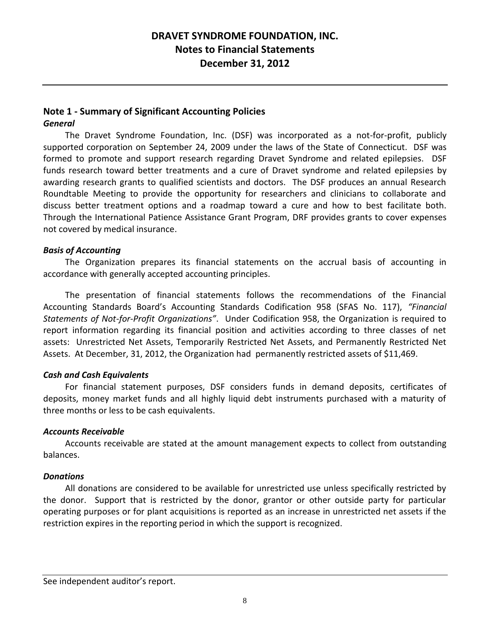## **DRAVET SYNDROME FOUNDATION, INC. Notes to Financial Statements December 31, 2012**

## **Note 1 - Summary of Significant Accounting Policies**

#### *General*

The Dravet Syndrome Foundation, Inc. (DSF) was incorporated as a not-for-profit, publicly supported corporation on September 24, 2009 under the laws of the State of Connecticut. DSF was formed to promote and support research regarding Dravet Syndrome and related epilepsies. DSF funds research toward better treatments and a cure of Dravet syndrome and related epilepsies by awarding research grants to qualified scientists and doctors. The DSF produces an annual Research Roundtable Meeting to provide the opportunity for researchers and clinicians to collaborate and discuss better treatment options and a roadmap toward a cure and how to best facilitate both. Through the International Patience Assistance Grant Program, DRF provides grants to cover expenses not covered by medical insurance.

#### *Basis of Accounting*

The Organization prepares its financial statements on the accrual basis of accounting in accordance with generally accepted accounting principles.

The presentation of financial statements follows the recommendations of the Financial Accounting Standards Board's Accounting Standards Codification 958 (SFAS No. 117), *"Financial Statements of Not-for-Profit Organizations"*. Under Codification 958, the Organization is required to report information regarding its financial position and activities according to three classes of net assets: Unrestricted Net Assets, Temporarily Restricted Net Assets, and Permanently Restricted Net Assets. At December, 31, 2012, the Organization had permanently restricted assets of \$11,469.

#### *Cash and Cash Equivalents*

For financial statement purposes, DSF considers funds in demand deposits, certificates of deposits, money market funds and all highly liquid debt instruments purchased with a maturity of three months or less to be cash equivalents.

#### *Accounts Receivable*

Accounts receivable are stated at the amount management expects to collect from outstanding balances.

#### *Donations*

All donations are considered to be available for unrestricted use unless specifically restricted by the donor. Support that is restricted by the donor, grantor or other outside party for particular operating purposes or for plant acquisitions is reported as an increase in unrestricted net assets if the restriction expires in the reporting period in which the support is recognized.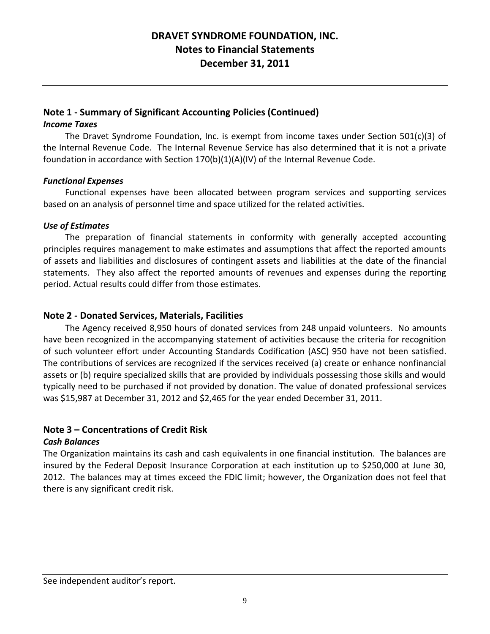## **DRAVET SYNDROME FOUNDATION, INC. Notes to Financial Statements December 31, 2011**

#### **Note 1 - Summary of Significant Accounting Policies (Continued)**

#### *Income Taxes*

The Dravet Syndrome Foundation, Inc. is exempt from income taxes under Section 501(c)(3) of the Internal Revenue Code. The Internal Revenue Service has also determined that it is not a private foundation in accordance with Section 170(b)(1)(A)(IV) of the Internal Revenue Code.

#### *Functional Expenses*

Functional expenses have been allocated between program services and supporting services based on an analysis of personnel time and space utilized for the related activities.

#### *Use of Estimates*

The preparation of financial statements in conformity with generally accepted accounting principles requires management to make estimates and assumptions that affect the reported amounts of assets and liabilities and disclosures of contingent assets and liabilities at the date of the financial statements. They also affect the reported amounts of revenues and expenses during the reporting period. Actual results could differ from those estimates.

#### **Note 2 - Donated Services, Materials, Facilities**

The Agency received 8,950 hours of donated services from 248 unpaid volunteers. No amounts have been recognized in the accompanying statement of activities because the criteria for recognition of such volunteer effort under Accounting Standards Codification (ASC) 950 have not been satisfied. The contributions of services are recognized if the services received (a) create or enhance nonfinancial assets or (b) require specialized skills that are provided by individuals possessing those skills and would typically need to be purchased if not provided by donation. The value of donated professional services was \$15,987 at December 31, 2012 and \$2,465 for the year ended December 31, 2011.

#### **Note 3 – Concentrations of Credit Risk**

#### *Cash Balances*

The Organization maintains its cash and cash equivalents in one financial institution. The balances are insured by the Federal Deposit Insurance Corporation at each institution up to \$250,000 at June 30, 2012. The balances may at times exceed the FDIC limit; however, the Organization does not feel that there is any significant credit risk.